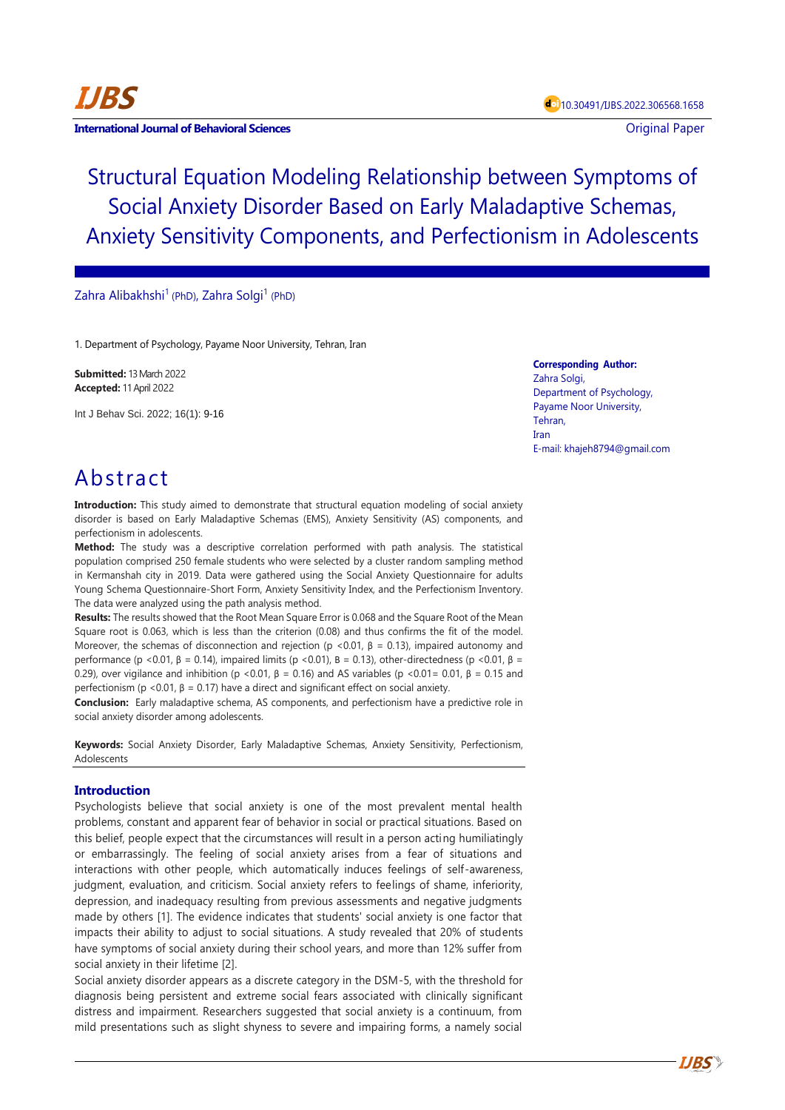

### **International Journal of Behavioral Sciences Contract Contract Contract Contract Contract Contract Contract Contract Contract Contract Contract Contract Contract Contract Contract Contract Contract Contract Contract Con**

Structural Equation Modeling Relationship between Symptoms of Social Anxiety Disorder Based on Early Maladaptive Schemas, Anxiety Sensitivity Components, and Perfectionism in Adolescents

## Zahra Alibakhshi<sup>1</sup> (PhD), Zahra Solgi<sup>1</sup> (PhD)

1. Department of Psychology, Payame Noor University, Tehran, Iran

**Submitted:** 13 March 2022 **Accepted:** 11 April 2022

Int J Behav Sci. 2022; 16(1): 9-16

**Corresponding Author:** Zahra Solgi, Department of Psychology, Payame Noor University, Tehran, Iran E-mail: khajeh8794@gmail.com

# Abstract

**Introduction:** This study aimed to demonstrate that structural equation modeling of social anxiety disorder is based on Early Maladaptive Schemas (EMS), Anxiety Sensitivity (AS) components, and perfectionism in adolescents.

**Method:** The study was a descriptive correlation performed with path analysis. The statistical population comprised 250 female students who were selected by a cluster random sampling method in Kermanshah city in 2019. Data were gathered using the Social Anxiety Questionnaire for adults Young Schema Questionnaire-Short Form, Anxiety Sensitivity Index, and the Perfectionism Inventory. The data were analyzed using the path analysis method.

**Results:** The results showed that the Root Mean Square Error is 0.068 and the Square Root of the Mean Square root is 0.063, which is less than the criterion (0.08) and thus confirms the fit of the model. Moreover, the schemas of disconnection and rejection (p <0.01,  $\beta$  = 0.13), impaired autonomy and performance (p <0.01, β = 0.14), impaired limits (p <0.01), B = 0.13), other-directedness (p <0.01, β = 0.29), over vigilance and inhibition (p <0.01,  $B = 0.16$ ) and AS variables (p <0.01= 0.01,  $B = 0.15$  and perfectionism (p <0.01,  $\beta$  = 0.17) have a direct and significant effect on social anxiety.

**Conclusion:** Early maladaptive schema, AS components, and perfectionism have a predictive role in social anxiety disorder among adolescents.

**Keywords:** Social Anxiety Disorder, Early Maladaptive Schemas, Anxiety Sensitivity, Perfectionism, Adolescents

## **Introduction**

Psychologists believe that social anxiety is one of the most prevalent mental health problems, constant and apparent fear of behavior in social or practical situations. Based on this belief, people expect that the circumstances will result in a person acting humiliatingly or embarrassingly. The feeling of social anxiety arises from a fear of situations and interactions with other people, which automatically induces feelings of self-awareness, judgment, evaluation, and criticism. Social anxiety refers to feelings of shame, inferiority, depression, and inadequacy resulting from previous assessments and negative judgments made by others [1]. The evidence indicates that students' social anxiety is one factor that impacts their ability to adjust to social situations. A study revealed that 20% of students have symptoms of social anxiety during their school years, and more than 12% suffer from social anxiety in their lifetime [2].

Social anxiety disorder appears as a discrete category in the DSM-5, with the threshold for diagnosis being persistent and extreme social fears associated with clinically significant distress and impairment. Researchers suggested that social anxiety is a continuum, from mild presentations such as slight shyness to severe and impairing forms, a namely social

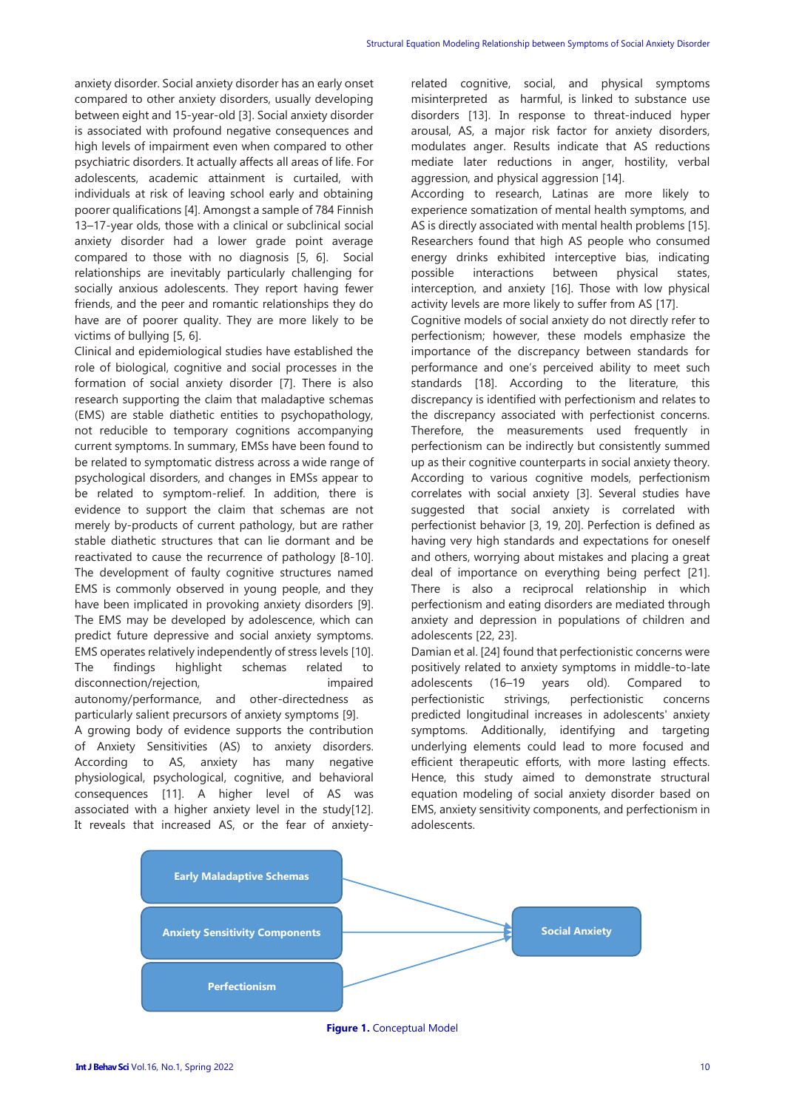anxiety disorder. Social anxiety disorder has an early onset compared to other anxiety disorders, usually developing between eight and 15-year-old [3]. Social anxiety disorder is associated with profound negative consequences and high levels of impairment even when compared to other psychiatric disorders. It actually affects all areas of life. For adolescents, academic attainment is curtailed, with individuals at risk of leaving school early and obtaining poorer qualifications [4]. Amongst a sample of 784 Finnish 13–17-year olds, those with a clinical or subclinical social anxiety disorder had a lower grade point average compared to those with no diagnosis [5, 6]. Social relationships are inevitably particularly challenging for socially anxious adolescents. They report having fewer friends, and the peer and romantic relationships they do have are of poorer quality. They are more likely to be victims of bullying [5, 6].

Clinical and epidemiological studies have established the role of biological, cognitive and social processes in the formation of social anxiety disorder [7]. There is also research supporting the claim that maladaptive schemas (EMS) are stable diathetic entities to psychopathology, not reducible to temporary cognitions accompanying current symptoms. In summary, EMSs have been found to be related to symptomatic distress across a wide range of psychological disorders, and changes in EMSs appear to be related to symptom-relief. In addition, there is evidence to support the claim that schemas are not merely by-products of current pathology, but are rather stable diathetic structures that can lie dormant and be reactivated to cause the recurrence of pathology [8-10]. The development of faulty cognitive structures named EMS is commonly observed in young people, and they have been implicated in provoking anxiety disorders [9]. The EMS may be developed by adolescence, which can predict future depressive and social anxiety symptoms. EMS operates relatively independently of stress levels [10]. The findings highlight schemas related to disconnection/rejection, impaired autonomy/performance, and other-directedness as particularly salient precursors of anxiety symptoms [9].

A growing body of evidence supports the contribution of Anxiety Sensitivities (AS) to anxiety disorders. According to AS, anxiety has many negative physiological, psychological, cognitive, and behavioral consequences [11]. A higher level of AS was associated with a higher anxiety level in the study[12]. It reveals that increased AS, or the fear of anxietyrelated cognitive, social, and physical symptoms misinterpreted as harmful, is linked to substance use disorders [13]. In response to threat-induced hyper arousal, AS, a major risk factor for anxiety disorders, modulates anger. Results indicate that AS reductions mediate later reductions in anger, hostility, verbal aggression, and physical aggression [14].

According to research, Latinas are more likely to experience somatization of mental health symptoms, and AS is directly associated with mental health problems [15]. Researchers found that high AS people who consumed energy drinks exhibited interceptive bias, indicating possible interactions between physical states, interception, and anxiety [16]. Those with low physical activity levels are more likely to suffer from AS [17].

Cognitive models of social anxiety do not directly refer to perfectionism; however, these models emphasize the importance of the discrepancy between standards for performance and one's perceived ability to meet such standards [18]. According to the literature, this discrepancy is identified with perfectionism and relates to the discrepancy associated with perfectionist concerns. Therefore, the measurements used frequently in perfectionism can be indirectly but consistently summed up as their cognitive counterparts in social anxiety theory. According to various cognitive models, perfectionism correlates with social anxiety [3]. Several studies have suggested that social anxiety is correlated with perfectionist behavior [3, 19, 20]. Perfection is defined as having very high standards and expectations for oneself and others, worrying about mistakes and placing a great deal of importance on everything being perfect [21]. There is also a reciprocal relationship in which perfectionism and eating disorders are mediated through anxiety and depression in populations of children and adolescents [22, 23].

Damian et al. [24] found that perfectionistic concerns were positively related to anxiety symptoms in middle-to-late adolescents (16–19 years old). Compared to perfectionistic strivings, perfectionistic concerns predicted longitudinal increases in adolescents' anxiety symptoms. Additionally, identifying and targeting underlying elements could lead to more focused and efficient therapeutic efforts, with more lasting effects. Hence, this study aimed to demonstrate structural equation modeling of social anxiety disorder based on EMS, anxiety sensitivity components, and perfectionism in adolescents.



**Figure 1.** Conceptual Model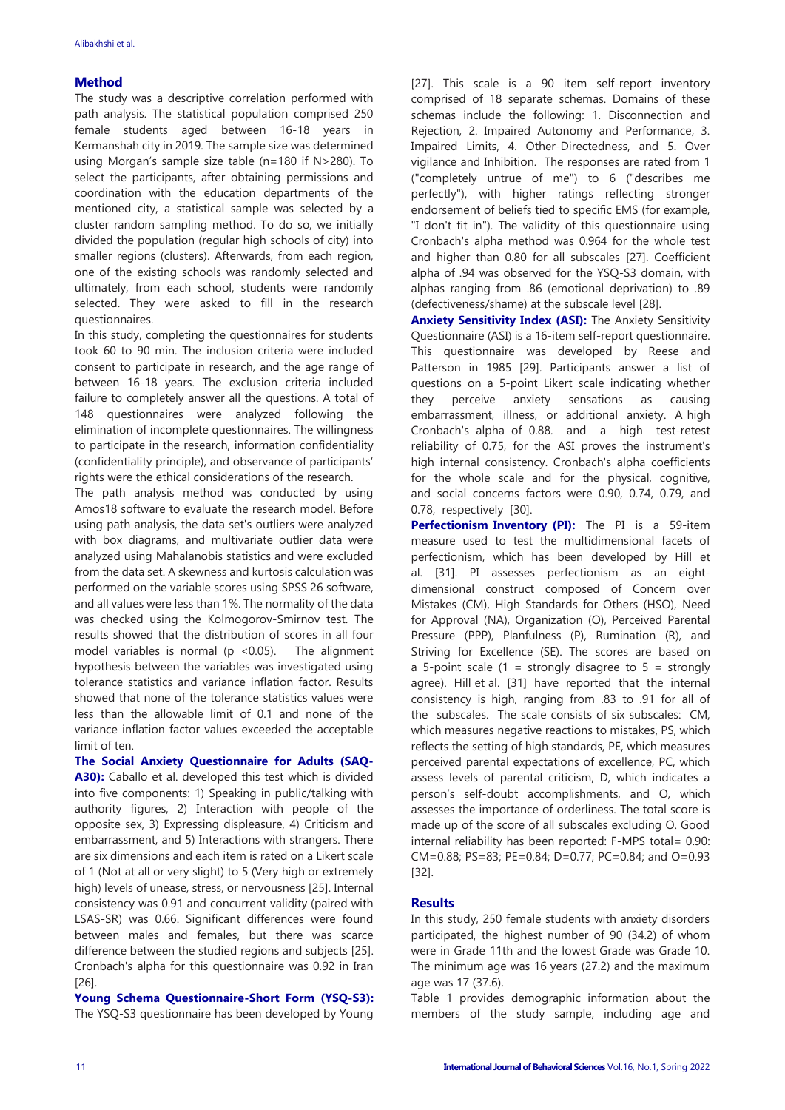## **Method**

The study was a descriptive correlation performed with path analysis. The statistical population comprised 250 female students aged between 16-18 years in Kermanshah city in 2019. The sample size was determined using Morgan's sample size table (n=180 if N>280). To select the participants, after obtaining permissions and coordination with the education departments of the mentioned city, a statistical sample was selected by a cluster random sampling method. To do so, we initially divided the population (regular high schools of city) into smaller regions (clusters). Afterwards, from each region, one of the existing schools was randomly selected and ultimately, from each school, students were randomly selected. They were asked to fill in the research questionnaires.

In this study, completing the questionnaires for students took 60 to 90 min. The inclusion criteria were included consent to participate in research, and the age range of between 16-18 years. The exclusion criteria included failure to completely answer all the questions. A total of 148 questionnaires were analyzed following the elimination of incomplete questionnaires. The willingness to participate in the research, information confidentiality (confidentiality principle), and observance of participants' rights were the ethical considerations of the research.

The path analysis method was conducted by using Amos18 software to evaluate the research model. Before using path analysis, the data set's outliers were analyzed with box diagrams, and multivariate outlier data were analyzed using Mahalanobis statistics and were excluded from the data set. A skewness and kurtosis calculation was performed on the variable scores using SPSS 26 software, and all values were less than 1%. The normality of the data was checked using the Kolmogorov-Smirnov test. The results showed that the distribution of scores in all four model variables is normal ( $p \le 0.05$ ). The alignment hypothesis between the variables was investigated using tolerance statistics and variance inflation factor. Results showed that none of the tolerance statistics values were less than the allowable limit of 0.1 and none of the variance inflation factor values exceeded the acceptable limit of ten.

**The Social Anxiety Questionnaire for Adults (SAQ-A30):** Caballo et al. developed this test which is divided into five components: 1) Speaking in public/talking with authority figures, 2) Interaction with people of the opposite sex, 3) Expressing displeasure, 4) Criticism and embarrassment, and 5) Interactions with strangers. There are six dimensions and each item is rated on a Likert scale of 1 (Not at all or very slight) to 5 (Very high or extremely high) levels of unease, stress, or nervousness [25]. Internal consistency was 0.91 and concurrent validity (paired with LSAS-SR) was 0.66. Significant differences were found between males and females, but there was scarce difference between the studied regions and subjects [25]. Cronbach's alpha for this questionnaire was 0.92 in Iran [26].

**Young Schema Questionnaire-Short Form (YSQ-S3):** The YSQ-S3 questionnaire has been developed by Young [27]. This scale is a 90 item self-report inventory comprised of 18 separate schemas. Domains of these schemas include the following: 1. Disconnection and Rejection, 2. Impaired Autonomy and Performance, 3. Impaired Limits, 4. Other-Directedness, and 5. Over vigilance and Inhibition. The responses are rated from 1 ("completely untrue of me") to 6 ("describes me perfectly"), with higher ratings reflecting stronger endorsement of beliefs tied to specific EMS (for example, "I don't fit in"). The validity of this questionnaire using Cronbach's alpha method was 0.964 for the whole test and higher than 0.80 for all subscales [27]. Coefficient alpha of .94 was observed for the YSQ-S3 domain, with alphas ranging from .86 (emotional deprivation) to .89 (defectiveness/shame) at the subscale level [28].

**Anxiety Sensitivity Index (ASI):** The Anxiety Sensitivity Questionnaire (ASI) is a 16-item self-report questionnaire. This questionnaire was developed by Reese and Patterson in 1985 [29]. Participants answer a list of questions on a 5-point Likert scale indicating whether they perceive anxiety sensations as causing embarrassment, illness, or additional anxiety. A high Cronbach's alpha of 0.88. and a high test-retest reliability of 0.75, for the ASI proves the instrument's high internal consistency. Cronbach's alpha coefficients for the whole scale and for the physical, cognitive, and social concerns factors were 0.90, 0.74, 0.79, and 0.78, respectively [30].

**Perfectionism Inventory (PI):** The PI is a 59-item measure used to test the multidimensional facets of perfectionism, which has been developed by Hill et al. [31]. PI assesses perfectionism as an eightdimensional construct composed of Concern over Mistakes (CM), High Standards for Others (HSO), Need for Approval (NA), Organization (O), Perceived Parental Pressure (PPP), Planfulness (P), Rumination (R), and Striving for Excellence (SE). The scores are based on a 5-point scale (1 = strongly disagree to 5 = strongly agree). Hill et al. [31] have reported that the internal consistency is high, ranging from .83 to .91 for all of the subscales. The scale consists of six subscales: CM, which measures negative reactions to mistakes, PS, which reflects the setting of high standards, PE, which measures perceived parental expectations of excellence, PC, which assess levels of parental criticism, D, which indicates a person's self-doubt accomplishments, and O, which assesses the importance of orderliness. The total score is made up of the score of all subscales excluding O. Good internal reliability has been reported: F-MPS total= 0.90: CM=0.88; PS=83; PE=0.84; D=0.77; PC=0.84; and O=0.93 [32].

## **Results**

In this study, 250 female students with anxiety disorders participated, the highest number of 90 (34.2) of whom were in Grade 11th and the lowest Grade was Grade 10. The minimum age was 16 years (27.2) and the maximum age was 17 (37.6).

Table 1 provides demographic information about the members of the study sample, including age and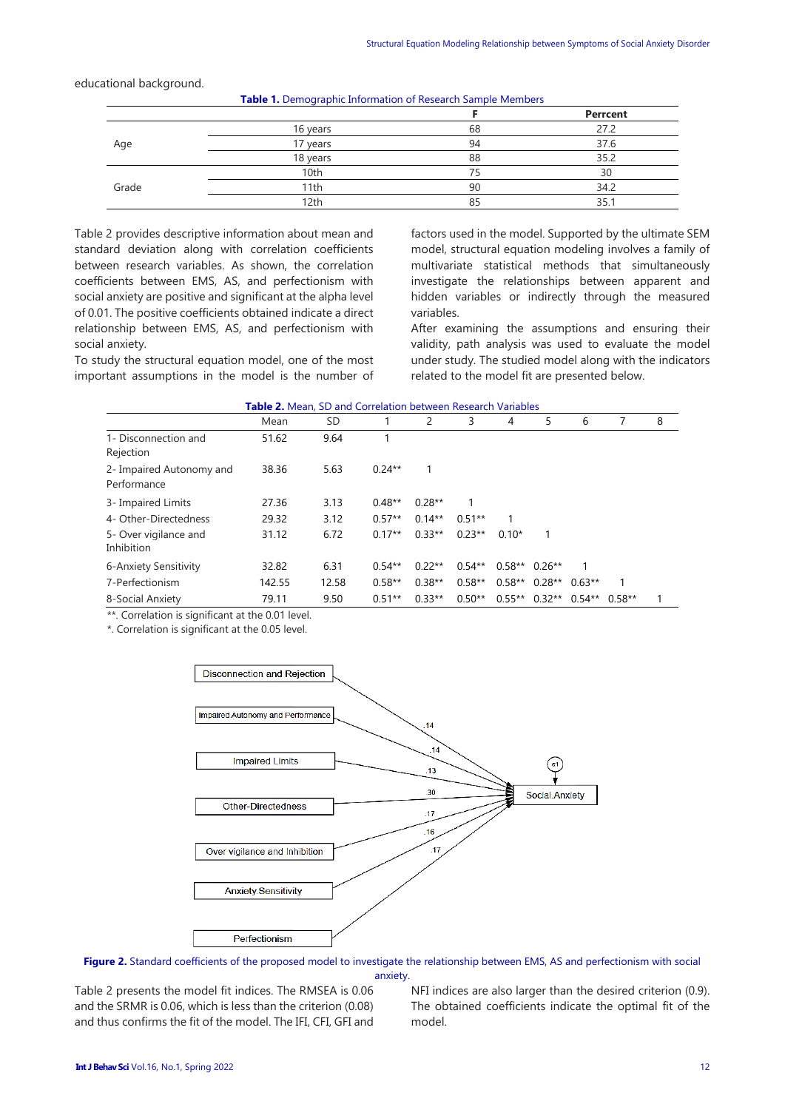|       | <b>Table 1:</b> Bernographic Imprimation of Research Sample Members |    |          |
|-------|---------------------------------------------------------------------|----|----------|
|       |                                                                     |    | Perrcent |
|       | 16 years                                                            | 68 | 27.2     |
| Age   | 17 years                                                            | 94 | 37.6     |
|       | 18 years                                                            | 88 | 35.2     |
|       | 10th                                                                | 75 | 30       |
| Grade | 11th                                                                | 90 | 34.2     |
|       | 12th                                                                | 85 | 35.      |

**Table 1.** Demographic Information of Research Sample Members

#### educational background.

Table 2 provides descriptive information about mean and standard deviation along with correlation coefficients between research variables. As shown, the correlation coefficients between EMS, AS, and perfectionism with social anxiety are positive and significant at the alpha level of 0.01. The positive coefficients obtained indicate a direct relationship between EMS, AS, and perfectionism with social anxiety.

To study the structural equation model, one of the most important assumptions in the model is the number of factors used in the model. Supported by the ultimate SEM model, structural equation modeling involves a family of multivariate statistical methods that simultaneously investigate the relationships between apparent and hidden variables or indirectly through the measured variables.

After examining the assumptions and ensuring their validity, path analysis was used to evaluate the model under study. The studied model along with the indicators related to the model fit are presented below.

| <b>Table 2.</b> Mean, SD and Correlation between Research Variables |        |       |          |          |          |                 |          |          |          |   |
|---------------------------------------------------------------------|--------|-------|----------|----------|----------|-----------------|----------|----------|----------|---|
|                                                                     | Mean   | SD    |          | 2        | 3        | 4               | 5.       | 6        | 7        | 8 |
| 1- Disconnection and<br>Rejection                                   | 51.62  | 9.64  |          |          |          |                 |          |          |          |   |
| 2- Impaired Autonomy and<br>Performance                             | 38.36  | 5.63  | $0.24**$ |          |          |                 |          |          |          |   |
| 3- Impaired Limits                                                  | 27.36  | 3.13  | $0.48**$ | $0.28**$ |          |                 |          |          |          |   |
| 4- Other-Directedness                                               | 29.32  | 3.12  | $0.57**$ | $0.14**$ | $0.51**$ |                 |          |          |          |   |
| 5- Over vigilance and<br>Inhibition                                 | 31.12  | 6.72  | $0.17**$ | $0.33**$ | $0.23**$ | $0.10*$         |          |          |          |   |
| 6-Anxiety Sensitivity                                               | 32.82  | 6.31  | $0.54**$ | $0.22**$ | $0.54**$ | $0.58**$ 0.26** |          |          |          |   |
| 7-Perfectionism                                                     | 142.55 | 12.58 | $0.58**$ | $0.38**$ | $0.58**$ | $0.58**$        | $0.28**$ | $0.63**$ |          |   |
| 8-Social Anxiety                                                    | 79.11  | 9.50  | $0.51**$ | $0.33**$ | $0.50**$ | $0.55**$        | $0.32**$ | $0.54**$ | $0.58**$ | 1 |

\*\*. Correlation is significant at the 0.01 level.

\*. Correlation is significant at the 0.05 level.



**Figure 2.** Standard coefficients of the proposed model to investigate the relationship between EMS, AS and perfectionism with social anxiety.

Table 2 presents the model fit indices. The RMSEA is 0.06 and the SRMR is 0.06, which is less than the criterion (0.08) and thus confirms the fit of the model. The IFI, CFI, GFI and

NFI indices are also larger than the desired criterion (0.9). The obtained coefficients indicate the optimal fit of the model.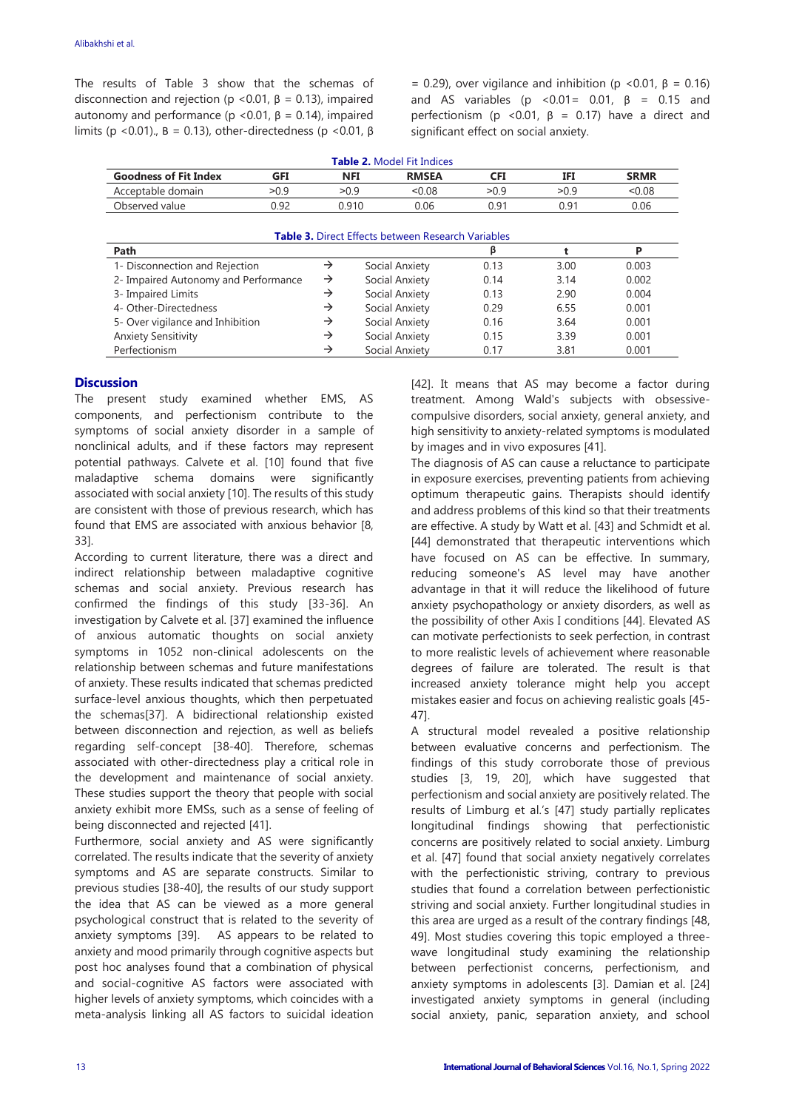The results of Table 3 show that the schemas of disconnection and rejection ( $p$  <0.01,  $β$  = 0.13), impaired autonomy and performance ( $p$  <0.01,  $β$  = 0.14), impaired limits (p <0.01).,  $B = 0.13$ ), other-directedness (p <0.01,  $\beta$  = 0.29), over vigilance and inhibition (p <0.01, β = 0.16) and AS variables ( $p \le 0.01 = 0.01$ ,  $\beta = 0.15$  and perfectionism (p <0.01,  $\beta$  = 0.17) have a direct and significant effect on social anxiety.

|                                      |            |               | <b>Table 2. Model Fit Indices</b>                         |            |      |             |
|--------------------------------------|------------|---------------|-----------------------------------------------------------|------------|------|-------------|
| <b>Goodness of Fit Index</b>         | <b>GFI</b> |               | <b>NFI</b><br><b>RMSEA</b>                                | <b>CFI</b> | IFI  | <b>SRMR</b> |
| Acceptable domain                    | >0.9       | >0.9          | < 0.08                                                    | >0.9       | >0.9 | &0.08       |
| Observed value                       | 0.92       |               | 0.910<br>0.06                                             | 0.91       | 0.91 | 0.06        |
|                                      |            |               | <b>Table 3.</b> Direct Effects between Research Variables |            |      |             |
| Path                                 |            |               |                                                           | β          |      | P           |
| 1- Disconnection and Rejection       |            | $\rightarrow$ | Social Anxiety                                            | 0.13       | 3.00 | 0.003       |
| 2- Impaired Autonomy and Performance |            | $\rightarrow$ | Social Anxiety                                            | 0.14       | 3.14 | 0.002       |
| 3- Impaired Limits                   |            | $\rightarrow$ | Social Anxiety                                            | 0.13       | 2.90 | 0.004       |
| 4- Other-Directedness                |            | →             | Social Anxiety                                            | 0.29       | 6.55 | 0.001       |
| 5- Over vigilance and Inhibition     |            | $\rightarrow$ | Social Anxiety                                            | 0.16       | 3.64 | 0.001       |
| <b>Anxiety Sensitivity</b>           |            | $\rightarrow$ | Social Anxiety                                            | 0.15       | 3.39 | 0.001       |
| Perfectionism                        |            | $\rightarrow$ | Social Anxiety                                            | 0.17       | 3.81 | 0.001       |

# **Discussion**

The present study examined whether EMS, AS components, and perfectionism contribute to the symptoms of social anxiety disorder in a sample of nonclinical adults, and if these factors may represent potential pathways. Calvete et al. [10] found that five maladaptive schema domains were significantly associated with social anxiety [10]. The results of this study are consistent with those of previous research, which has found that EMS are associated with anxious behavior [8, 33].

According to current literature, there was a direct and indirect relationship between maladaptive cognitive schemas and social anxiety. Previous research has confirmed the findings of this study [33-36]. An investigation by Calvete et al. [37] examined the influence of anxious automatic thoughts on social anxiety symptoms in 1052 non-clinical adolescents on the relationship between schemas and future manifestations of anxiety. These results indicated that schemas predicted surface-level anxious thoughts, which then perpetuated the schemas[37]. A bidirectional relationship existed between disconnection and rejection, as well as beliefs regarding self-concept [38-40]. Therefore, schemas associated with other-directedness play a critical role in the development and maintenance of social anxiety. These studies support the theory that people with social anxiety exhibit more EMSs, such as a sense of feeling of being disconnected and rejected [41].

Furthermore, social anxiety and AS were significantly correlated. The results indicate that the severity of anxiety symptoms and AS are separate constructs. Similar to previous studies [38-40], the results of our study support the idea that AS can be viewed as a more general psychological construct that is related to the severity of anxiety symptoms [39]. AS appears to be related to anxiety and mood primarily through cognitive aspects but post hoc analyses found that a combination of physical and social-cognitive AS factors were associated with higher levels of anxiety symptoms, which coincides with a meta-analysis linking all AS factors to suicidal ideation [42]. It means that AS may become a factor during treatment. Among Wald's subjects with obsessivecompulsive disorders, social anxiety, general anxiety, and high sensitivity to anxiety-related symptoms is modulated by images and in vivo exposures [41].

The diagnosis of AS can cause a reluctance to participate in exposure exercises, preventing patients from achieving optimum therapeutic gains. Therapists should identify and address problems of this kind so that their treatments are effective. A study by Watt et al. [43] and Schmidt et al. [44] demonstrated that therapeutic interventions which have focused on AS can be effective. In summary, reducing someone's AS level may have another advantage in that it will reduce the likelihood of future anxiety psychopathology or anxiety disorders, as well as the possibility of other Axis I conditions [44]. Elevated AS can motivate perfectionists to seek perfection, in contrast to more realistic levels of achievement where reasonable degrees of failure are tolerated. The result is that increased anxiety tolerance might help you accept mistakes easier and focus on achieving realistic goals [45- 47].

A structural model revealed a positive relationship between evaluative concerns and perfectionism. The findings of this study corroborate those of previous studies [3, 19, 20], which have suggested that perfectionism and social anxiety are positively related. The results of Limburg et al.'s [47] study partially replicates longitudinal findings showing that perfectionistic concerns are positively related to social anxiety. Limburg et al. [47] found that social anxiety negatively correlates with the perfectionistic striving, contrary to previous studies that found a correlation between perfectionistic striving and social anxiety. Further longitudinal studies in this area are urged as a result of the contrary findings [48, 49]. Most studies covering this topic employed a threewave longitudinal study examining the relationship between perfectionist concerns, perfectionism, and anxiety symptoms in adolescents [3]. Damian et al. [24] investigated anxiety symptoms in general (including social anxiety, panic, separation anxiety, and school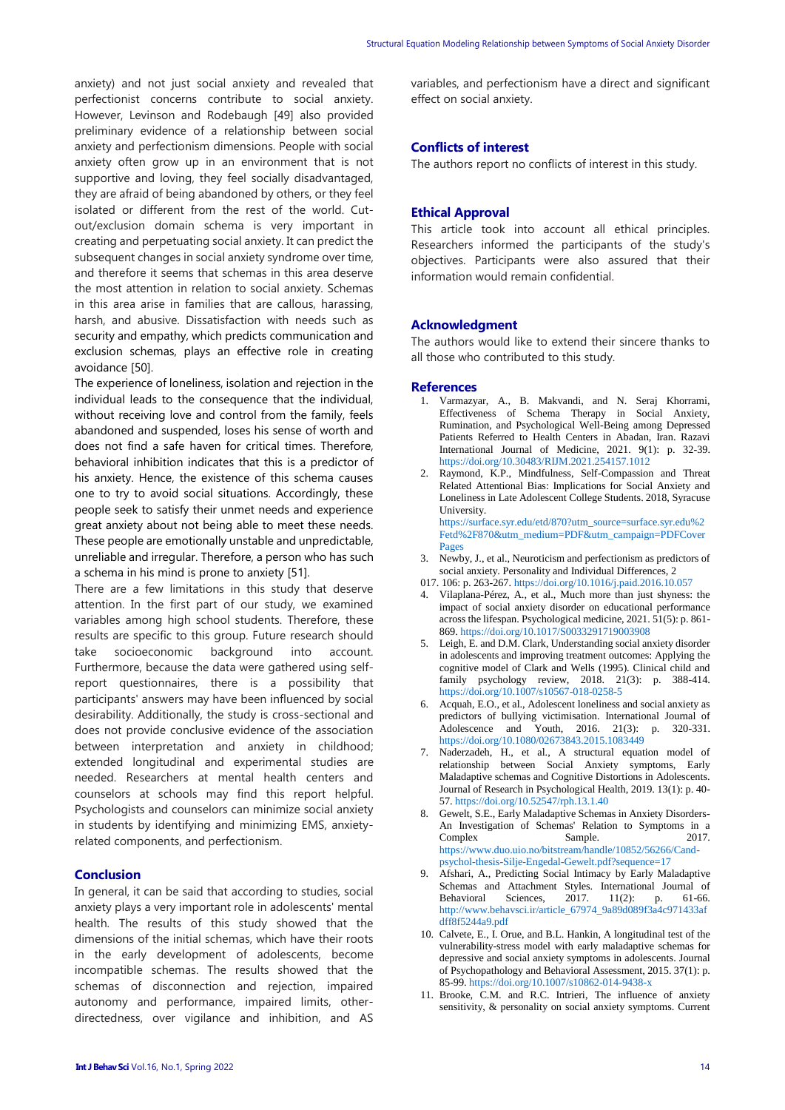anxiety) and not just social anxiety and revealed that perfectionist concerns contribute to social anxiety. However, Levinson and Rodebaugh [49] also provided preliminary evidence of a relationship between social anxiety and perfectionism dimensions. People with social anxiety often grow up in an environment that is not supportive and loving, they feel socially disadvantaged, they are afraid of being abandoned by others, or they feel isolated or different from the rest of the world. Cutout/exclusion domain schema is very important in creating and perpetuating social anxiety. It can predict the subsequent changes in social anxiety syndrome over time, and therefore it seems that schemas in this area deserve the most attention in relation to social anxiety. Schemas in this area arise in families that are callous, harassing, harsh, and abusive. Dissatisfaction with needs such as security and empathy, which predicts communication and exclusion schemas, plays an effective role in creating avoidance [50].

The experience of loneliness, isolation and rejection in the individual leads to the consequence that the individual, without receiving love and control from the family, feels abandoned and suspended, loses his sense of worth and does not find a safe haven for critical times. Therefore, behavioral inhibition indicates that this is a predictor of his anxiety. Hence, the existence of this schema causes one to try to avoid social situations. Accordingly, these people seek to satisfy their unmet needs and experience great anxiety about not being able to meet these needs. These people are emotionally unstable and unpredictable, unreliable and irregular. Therefore, a person who has such a schema in his mind is prone to anxiety [51].

There are a few limitations in this study that deserve attention. In the first part of our study, we examined variables among high school students. Therefore, these results are specific to this group. Future research should take socioeconomic background into account. Furthermore, because the data were gathered using selfreport questionnaires, there is a possibility that participants' answers may have been influenced by social desirability. Additionally, the study is cross-sectional and does not provide conclusive evidence of the association between interpretation and anxiety in childhood; extended longitudinal and experimental studies are needed. Researchers at mental health centers and counselors at schools may find this report helpful. Psychologists and counselors can minimize social anxiety in students by identifying and minimizing EMS, anxietyrelated components, and perfectionism.

## **Conclusion**

In general, it can be said that according to studies, social anxiety plays a very important role in adolescents' mental health. The results of this study showed that the dimensions of the initial schemas, which have their roots in the early development of adolescents, become incompatible schemas. The results showed that the schemas of disconnection and rejection, impaired autonomy and performance, impaired limits, otherdirectedness, over vigilance and inhibition, and AS variables, and perfectionism have a direct and significant effect on social anxiety.

# **Conflicts of interest**

The authors report no conflicts of interest in this study.

## **Ethical Approval**

This article took into account all ethical principles. Researchers informed the participants of the study's objectives. Participants were also assured that their information would remain confidential.

## **Acknowledgment**

The authors would like to extend their sincere thanks to all those who contributed to this study.

### **References**

- 1. Varmazyar, A., B. Makvandi, and N. Seraj Khorrami, Effectiveness of Schema Therapy in Social Anxiety, Rumination, and Psychological Well-Being among Depressed Patients Referred to Health Centers in Abadan, Iran. Razavi International Journal of Medicine, 2021. 9(1): p. 32-39. [https://doi.org/10.30483/RIJM.2021.254157.1012](https://doi.org/10.1016/j.paid.2016.10.057)
- Raymond, K.P., Mindfulness, Self-Compassion and Threat Related Attentional Bias: Implications for Social Anxiety and Loneliness in Late Adolescent College Students. 2018, Syracuse University. [https://surface.syr.edu/etd/870?utm\\_source=surface.syr.edu%2](https://surface.syr.edu/etd/870?utm_source=surface.syr.edu%2Fetd%2F870&utm_medium=PDF&utm_campaign=PDFCoverPages)

[Fetd%2F870&utm\\_medium=PDF&utm\\_campaign=PDFCover](https://surface.syr.edu/etd/870?utm_source=surface.syr.edu%2Fetd%2F870&utm_medium=PDF&utm_campaign=PDFCoverPages) [Pages](https://surface.syr.edu/etd/870?utm_source=surface.syr.edu%2Fetd%2F870&utm_medium=PDF&utm_campaign=PDFCoverPages)

- 3. Newby, J., et al., Neuroticism and perfectionism as predictors of social anxiety. Personality and Individual Differences, 2 017. 106: p. 263-267.<https://doi.org/10.1016/j.paid.2016.10.057>
- 4. Vilaplana-Pérez, A., et al., Much more than just shyness: the impact of social anxiety disorder on educational performance across the lifespan. Psychological medicine, 2021. 51(5): p. 861- 869. <https://doi.org/10.1017/S0033291719003908>
- 5. Leigh, E. and D.M. Clark, Understanding social anxiety disorder in adolescents and improving treatment outcomes: Applying the cognitive model of Clark and Wells (1995). Clinical child and family psychology review, 2018. 21(3): p. 388-414. <https://doi.org/10.1007/s10567-018-0258-5>
- 6. Acquah, E.O., et al., Adolescent loneliness and social anxiety as predictors of bullying victimisation. International Journal of Adolescence and Youth, 2016. 21(3): p. 320-331. <https://doi.org/10.1080/02673843.2015.1083449>
- 7. Naderzadeh, H., et al., A structural equation model of relationship between Social Anxiety symptoms, Early Maladaptive schemas and Cognitive Distortions in Adolescents. Journal of Research in Psychological Health, 2019. 13(1): p. 40- 57[. https://doi.org/10.52547/rph.13.1.40](https://doi.org/10.1016/j.paid.2016.10.057)
- 8. Gewelt, S.E., Early Maladaptive Schemas in Anxiety Disorders-An Investigation of Schemas' Relation to Symptoms in a Complex Sample. 2017. [https://www.duo.uio.no/bitstream/handle/10852/56266/Cand](https://www.duo.uio.no/bitstream/handle/10852/56266/Cand-psychol-thesis-Silje-Engedal-Gewelt.pdf?sequence=17)[psychol-thesis-Silje-Engedal-Gewelt.pdf?sequence=17](https://www.duo.uio.no/bitstream/handle/10852/56266/Cand-psychol-thesis-Silje-Engedal-Gewelt.pdf?sequence=17)
- 9. Afshari, A., Predicting Social Intimacy by Early Maladaptive Schemas and Attachment Styles. International Journal of Behavioral Sciences, 2017. 11(2): p. 61-66. [http://www.behavsci.ir/article\\_67974\\_9a89d089f3a4c971433af](http://www.behavsci.ir/article_67974_9a89d089f3a4c971433afdff8f5244a9.pdf) [dff8f5244a9.pdf](http://www.behavsci.ir/article_67974_9a89d089f3a4c971433afdff8f5244a9.pdf)
- 10. Calvete, E., I. Orue, and B.L. Hankin, A longitudinal test of the vulnerability-stress model with early maladaptive schemas for depressive and social anxiety symptoms in adolescents. Journal of Psychopathology and Behavioral Assessment, 2015. 37(1): p. 85-99[. https://doi.org/10.1007/s10862-014-9438-x](https://doi.org/10.1016/j.paid.2016.10.057)
- 11. Brooke, C.M. and R.C. Intrieri, The influence of anxiety sensitivity, & personality on social anxiety symptoms. Current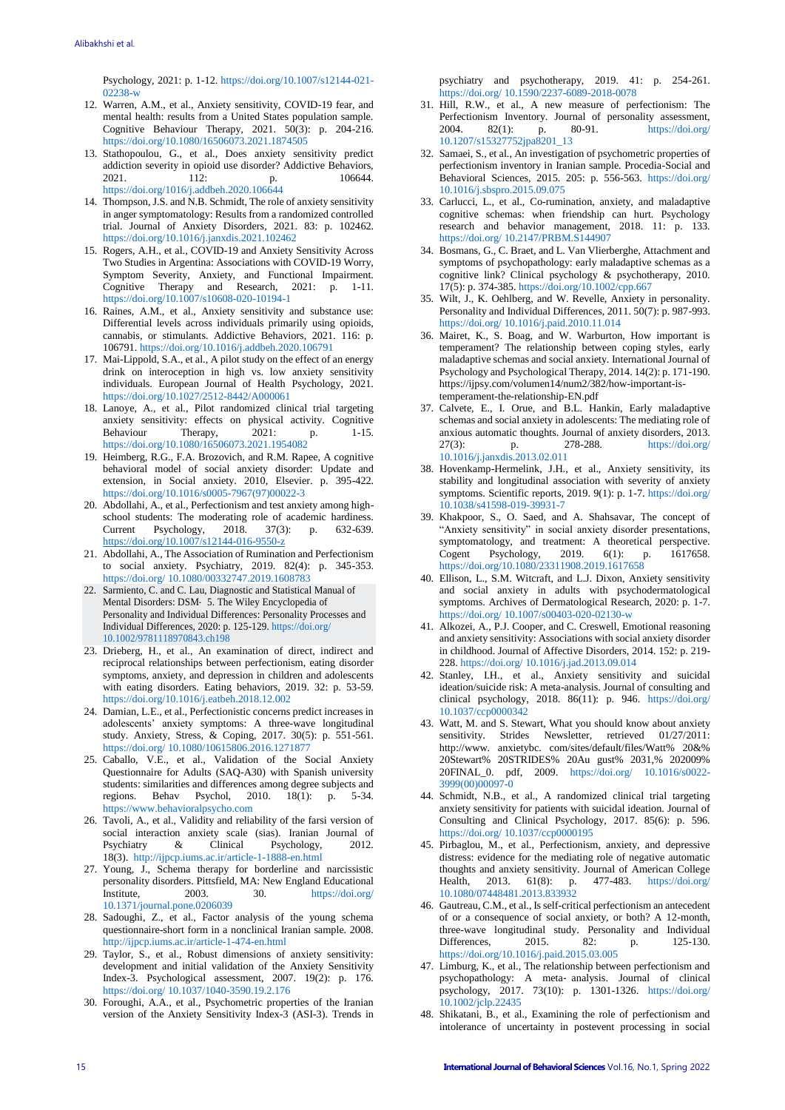Psychology, 2021: p. 1-12. [https://doi.org/10.1007/s12144-021-](https://doi.org/10.1007/s12144-021-02238-w) [02238-w](https://doi.org/10.1007/s12144-021-02238-w)

- 12. Warren, A.M., et al., Anxiety sensitivity, COVID-19 fear, and mental health: results from a United States population sample. Cognitive Behaviour Therapy, 2021. 50(3): p. 204-216. <https://doi.org/10.1080/16506073.2021.1874505>
- 13. Stathopoulou, G., et al., Does anxiety sensitivity predict addiction severity in opioid use disorder? Addictive Behaviors, 2021. 112: p. 106644. <https://doi.org/1016/j.addbeh.2020.106644>
- 14. Thompson, J.S. and N.B. Schmidt, The role of anxiety sensitivity in anger symptomatology: Results from a randomized controlled trial. Journal of Anxiety Disorders, 2021. 83: p. 102462. <https://doi.org/10.1016/j.janxdis.2021.102462>
- 15. Rogers, A.H., et al., COVID-19 and Anxiety Sensitivity Across Two Studies in Argentina: Associations with COVID-19 Worry, Symptom Severity, Anxiety, and Functional Impairment. Cognitive Therapy and Research, 2021: p. 1-11. <https://doi.org/10.1007/s10608-020-10194-1>
- 16. Raines, A.M., et al., Anxiety sensitivity and substance use: Differential levels across individuals primarily using opioids, cannabis, or stimulants. Addictive Behaviors, 2021. 116: p. 106791[. https://doi.org/10.1016/j.addbeh.2020.106791](https://doi.org/10.1016/j.addbeh.2020.106791)
- 17. Mai-Lippold, S.A., et al., A pilot study on the effect of an energy drink on interoception in high vs. low anxiety sensitivity individuals. European Journal of Health Psychology, 2021. [https://doi.org/10.1027/2512-8442/A000061](https://doi.org/10.1016/j.paid.2016.10.057)
- 18. Lanoye, A., et al., Pilot randomized clinical trial targeting anxiety sensitivity: effects on physical activity. Cognitive Behaviour Therapy, 2021: p. 1-15. Behaviour Therapy, 2021: p. 1-15. <https://doi.org/10.1080/16506073.2021.1954082>
- 19. Heimberg, R.G., F.A. Brozovich, and R.M. Rapee, A cognitive behavioral model of social anxiety disorder: Update and extension, in Social anxiety. 2010, Elsevier. p. 395-422. [https://doi.org/10.1016/s0005-7967\(97\)00022-3](https://doi.org/10.1016/j.paid.2016.10.057)
- 20. Abdollahi, A., et al., Perfectionism and test anxiety among highschool students: The moderating role of academic hardiness.<br>Current Psychology. 2018. 37(3): p. 632-639. Current Psychology,  $2018$ ,  $37(3)$ ; p. <https://doi.org/10.1007/s12144-016-9550-z>
- 21. Abdollahi, A., The Association of Rumination and Perfectionism to social anxiety. Psychiatry, 2019. 82(4): p. 345-353. https://doi.org/ [10.1080/00332747.2019.1608783](https://doi.org/%2010.1080/00332747.2019.1608783)
- 22. Sarmiento, C. and C. Lau, Diagnostic and Statistical Manual of Mental Disorders: DSM‐ 5. The Wiley Encyclopedia of Personality and Individual Differences: Personality Processes and Individual Differences, 2020: p. 125-129[. https://doi.org/](https://doi.org/10.1016/j.paid.2016.10.057) [10.1002/9781118970843.ch198](https://doi.org/10.1002/9781118970843.ch198)
- 23. Drieberg, H., et al., An examination of direct, indirect and reciprocal relationships between perfectionism, eating disorder symptoms, anxiety, and depression in children and adolescents with eating disorders. Eating behaviors, 2019. 32: p. 53-59. <https://doi.org/10.1016/j.eatbeh.2018.12.002>
- 24. Damian, L.E., et al., Perfectionistic concerns predict increases in adolescents' anxiety symptoms: A three-wave longitudinal study. Anxiety, Stress, & Coping, 2017. 30(5): p. 551-561. [https://doi.org/](https://doi.org/10.1016/j.paid.2016.10.057) [10.1080/10615806.2016.1271877](http://dx.doi.org/10.1080/10615806.2016.1271877)
- 25. Caballo, V.E., et al., Validation of the Social Anxiety Questionnaire for Adults (SAQ-A30) with Spanish university students: similarities and differences among degree subjects and regions. Behav Psychol, 2010. 18(1): p. 5-34. [https://www.behavioralpsycho.com](https://www.behavioralpsycho.com/)
- 26. Tavoli, A., et al., Validity and reliability of the farsi version of social interaction anxiety scale (sias). Iranian Journal of Psychology 2012 Psychiatry & Clinical Psychology, 18(3).<http://ijpcp.iums.ac.ir/article-1-1888-en.html>
- 27. Young, J., Schema therapy for borderline and narcissistic personality disorders. Pittsfield, MA: New England Educational Institute, 2003. 30. [https://doi.org/](https://doi.org/10.1016/j.paid.2016.10.057) [10.1371/journal.pone.0206039](https://dx.doi.org/10.1371%2Fjournal.pone.0206039)
- 28. Sadoughi, Z., et al., Factor analysis of the young schema questionnaire-short form in a nonclinical Iranian sample. 2008. <http://ijpcp.iums.ac.ir/article-1-474-en.html>
- 29. Taylor, S., et al., Robust dimensions of anxiety sensitivity: development and initial validation of the Anxiety Sensitivity Index-3. Psychological assessment, 2007. 19(2): p. 176. https://doi.org/ [10.1037/1040-3590.19.2.176](https://doi.org/%2010.1037/1040-3590.19.2.176)
- 30. Foroughi, A.A., et al., Psychometric properties of the Iranian version of the Anxiety Sensitivity Index-3 (ASI-3). Trends in

psychiatry and psychotherapy, 2019. 41: p. 254-261. https://doi.org/ [10.1590/2237-6089-2018-0078](https://doi.org/%2010.1590/2237-6089-2018-0078)

- 31. Hill, R.W., et al., A new measure of perfectionism: The Perfectionism Inventory. Journal of personality assessment,<br>2004.  $82(1)$ : p.  $80-91$ . https://doi.org/ 2004. 82(1): p. 80-91. [https://doi.org/](https://doi.org/%2010.1207/s15327752jpa8201_13) [10.1207/s15327752jpa8201\\_13](https://doi.org/%2010.1207/s15327752jpa8201_13)
- 32. Samaei, S., et al., An investigation of psychometric properties of perfectionism inventory in Iranian sample. Procedia-Social and Behavioral Sciences, 2015. 205: p. 556-563. [https://doi.org/](https://doi.org/10.1016/j.paid.2016.10.057) [10.1016/j.sbspro.2015.09.075](http://dx.doi.org/10.1016/j.sbspro.2015.09.075)
- 33. Carlucci, L., et al., Co-rumination, anxiety, and maladaptive cognitive schemas: when friendship can hurt. Psychology research and behavior management, 2018. 11: p. 133. [https://doi.org/](https://doi.org/10.1016/j.paid.2016.10.057) [10.2147/PRBM.S144907](https://dx.doi.org/10.2147%2FPRBM.S144907)
- 34. Bosmans, G., C. Braet, and L. Van Vlierberghe, Attachment and symptoms of psychopathology: early maladaptive schemas as a cognitive link? Clinical psychology & psychotherapy, 2010. 17(5): p. 374-385[. https://doi.org/10.1002/cpp.667](https://doi.org/10.1002/cpp.667)
- 35. Wilt, J., K. Oehlberg, and W. Revelle, Anxiety in personality. Personality and Individual Differences, 2011. 50(7): p. 987-993. https://doi.org/ [10.1016/j.paid.2010.11.014](https://doi.org/%2010.1016/j.paid.2010.11.014)
- 36. Mairet, K., S. Boag, and W. Warburton, How important is temperament? The relationship between coping styles, early maladaptive schemas and social anxiety. International Journal of Psychology and Psychological Therapy, 2014. 14(2): p. 171-190. https://ijpsy.com/volumen14/num2/382/how-important-istemperament-the-relationship-EN.pdf
- 37. Calvete, E., I. Orue, and B.L. Hankin, Early maladaptive schemas and social anxiety in adolescents: The mediating role of anxious automatic thoughts. Journal of anxiety disorders, 2013.<br>  $27(3)$ :  $p. 278-288$ . https://doi.org/ 27(3): p. 278-288. [https://doi.org/](https://doi.org/%2010.1016/j.janxdis.2013.02.011. ) [10.1016/j.janxdis.2013.02.011](https://doi.org/%2010.1016/j.janxdis.2013.02.011. )
- 38. Hovenkamp-Hermelink, J.H., et al., Anxiety sensitivity, its stability and longitudinal association with severity of anxiety symptoms. Scientific reports, 2019. 9(1): p. 1-7[. https://doi.org/](https://doi.org/10.1016/j.paid.2016.10.057) [10.1038/s41598-019-39931-7](https://dx.doi.org/10.1038%2Fs41598-019-39931-7)
- 39. Khakpoor, S., O. Saed, and A. Shahsavar, The concept of "Anxiety sensitivity" in social anxiety disorder presentations, symptomatology, and treatment: A theoretical perspective. Cogent Psychology, 2019. 6(1): p. 1617658. [https://doi.org/10.1080/23311908.2019.1617658](https://psycnet.apa.org/doi/10.1080/23311908.2019.1617658)
- 40. Ellison, L., S.M. Witcraft, and L.J. Dixon, Anxiety sensitivity and social anxiety in adults with psychodermatological symptoms. Archives of Dermatological Research, 2020: p. 1-7. https://doi.org/ [10.1007/s00403-020-02130-w](https://doi.org/%2010.1007/s00403-020-02130-w)
- 41. Alkozei, A., P.J. Cooper, and C. Creswell, Emotional reasoning and anxiety sensitivity: Associations with social anxiety disorder in childhood. Journal of Affective Disorders, 2014. 152: p. 219- 228. https://doi.org/ [10.1016/j.jad.2013.09.014](https://doi.org/%2010.1016/j.jad.2013.09.014.)
- 42. Stanley, I.H., et al., Anxiety sensitivity and suicidal ideation/suicide risk: A meta-analysis. Journal of consulting and clinical psychology, 2018. 86(11): p. 946. [https://doi.org/](https://doi.org/10.1016/j.paid.2016.10.057) [10.1037/ccp0000342](https://dx.doi.org/10.1037%2Fccp0000342)
- 43. Watt, M. and S. Stewart, What you should know about anxiety sensitivity. Strides Newsletter, retrieved 01/27/2011: http://www. anxietybc. com/sites/default/files/Watt% 20&% 20Stewart% 20STRIDES% 20Au gust% 2031,% 202009% 20FINAL\_0. pdf, 2009. [https://doi.org/ 10.1016/s0022-](https://doi.org/%2010.1016/s0022-3999(00)00097-0) [3999\(00\)00097-0](https://doi.org/%2010.1016/s0022-3999(00)00097-0)
- 44. Schmidt, N.B., et al., A randomized clinical trial targeting anxiety sensitivity for patients with suicidal ideation. Journal of Consulting and Clinical Psychology, 2017. 85(6): p. 596. https://doi.org/ [10.1037/ccp0000195](https://doi.org/%2010.1037/ccp0000195)
- 45. Pirbaglou, M., et al., Perfectionism, anxiety, and depressive distress: evidence for the mediating role of negative automatic thoughts and anxiety sensitivity. Journal of American College Health, 2013. 61(8): p. 477-483. https://doi.org/ Health, 2013. 61(8): p. 477-483. [https://doi.org/](https://doi.org/10.1016/j.paid.2016.10.057) [10.1080/07448481.2013.833932](http://dx.doi.org/10.1080/07448481.2013.833932)
- 46. Gautreau, C.M., et al., Is self-critical perfectionism an antecedent of or a consequence of social anxiety, or both? A 12-month, three-wave longitudinal study. Personality and Individual Differences, 2015. 82: p. 125-130. <https://doi.org/10.1016/j.paid.2015.03.005>
- 47. Limburg, K., et al., The relationship between perfectionism and psychopathology: A meta‐ analysis. Journal of clinical psychology, 2017. 73(10): p. 1301-1326. [https://doi.org/](https://doi.org/%2010.1002/jclp.22435.) [10.1002/jclp.22435](https://doi.org/%2010.1002/jclp.22435.)
- 48. Shikatani, B., et al., Examining the role of perfectionism and intolerance of uncertainty in postevent processing in social